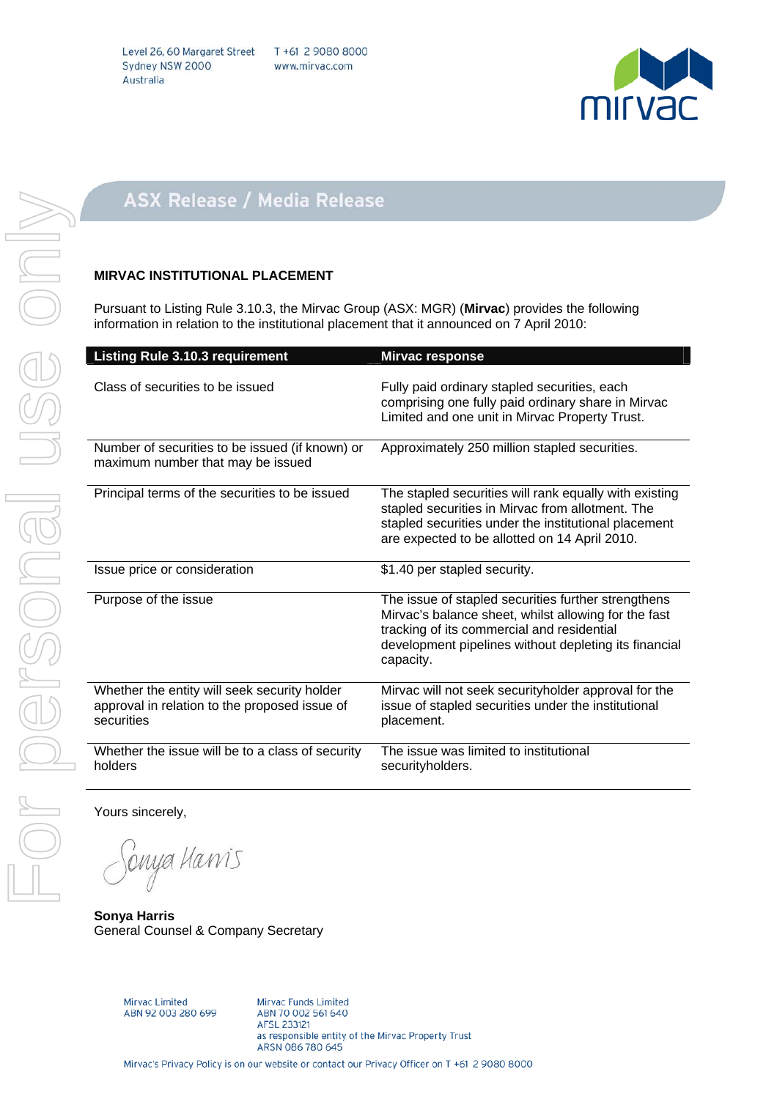

## **ASX Release / Media Release**

## **MIRVAC INSTITUTIONAL PLACEMENT**

Pursuant to Listing Rule 3.10.3, the Mirvac Group (ASX: MGR) (**Mirvac**) provides the following information in relation to the institutional placement that it announced on 7 April 2010:

| <b>Listing Rule 3.10.3 requirement</b>                                                                      | <b>Mirvac response</b>                                                                                                                                                                                                          |
|-------------------------------------------------------------------------------------------------------------|---------------------------------------------------------------------------------------------------------------------------------------------------------------------------------------------------------------------------------|
| Class of securities to be issued                                                                            | Fully paid ordinary stapled securities, each<br>comprising one fully paid ordinary share in Mirvac<br>Limited and one unit in Mirvac Property Trust.                                                                            |
| Number of securities to be issued (if known) or<br>maximum number that may be issued                        | Approximately 250 million stapled securities.                                                                                                                                                                                   |
| Principal terms of the securities to be issued                                                              | The stapled securities will rank equally with existing<br>stapled securities in Mirvac from allotment. The<br>stapled securities under the institutional placement<br>are expected to be allotted on 14 April 2010.             |
| Issue price or consideration                                                                                | \$1.40 per stapled security.                                                                                                                                                                                                    |
| Purpose of the issue                                                                                        | The issue of stapled securities further strengthens<br>Mirvac's balance sheet, whilst allowing for the fast<br>tracking of its commercial and residential<br>development pipelines without depleting its financial<br>capacity. |
| Whether the entity will seek security holder<br>approval in relation to the proposed issue of<br>securities | Mirvac will not seek securityholder approval for the<br>issue of stapled securities under the institutional<br>placement.                                                                                                       |
| Whether the issue will be to a class of security<br>holders                                                 | The issue was limited to institutional<br>securityholders.                                                                                                                                                                      |

Yours sincerely,

Sonya Hawis

**Sonya Harris**  General Counsel & Company Secretary

Mirvac Limited<br>ABN 92 003 280 699

Mirvac Funds Limited ABN 70 002 561 640 AFSL 233121 as responsible entity of the Mirvac Property Trust ARSN 086 780 645